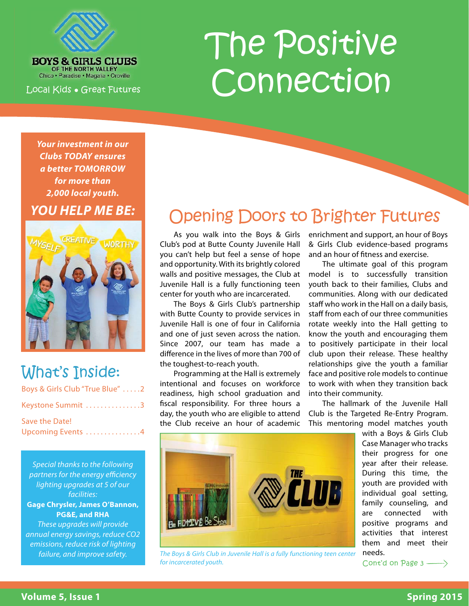

**BOYS & GIRLS CLUBS** OF THE NORTH VALLEY Chico · Paradise · Magalia · Oroville

Local Kids ● Great Futures

# The Positive Connection

*Your investment in our Clubs TODAY ensures a better TOMORROW for more than 2,000 local youth. YOU HELP ME BE:* 



# What's Inside:

| Boys & Girls Club "True Blue" 2 |
|---------------------------------|
| Keystone Summit 3               |
| Save the Date!                  |
| Upcoming Events 4               |

Special thanks to the following partners for the energy efficiency lighting upgrades at 5 of our facilities: **Gage Chrysler, James O'Bannon, PG&E, and RHA**  These upgrades will provide annual energy savings, reduce CO2 emissions, reduce risk of lighting failure, and improve safety.

# Opening Doors to Brighter Futures

As you walk into the Boys & Girls Club's pod at Butte County Juvenile Hall you can't help but feel a sense of hope and opportunity. With its brightly colored walls and positive messages, the Club at Juvenile Hall is a fully functioning teen center for youth who are incarcerated.

The Boys & Girls Club's partnership with Butte County to provide services in Juvenile Hall is one of four in California and one of just seven across the nation. Since 2007, our team has made a difference in the lives of more than 700 of the toughest-to-reach youth.

Programming at the Hall is extremely intentional and focuses on workforce readiness, high school graduation and fiscal responsibility. For three hours a day, the youth who are eligible to attend the Club receive an hour of academic enrichment and support, an hour of Boys & Girls Club evidence-based programs and an hour of fitness and exercise.

The ultimate goal of this program model is to successfully transition youth back to their families, Clubs and communities. Along with our dedicated staff who work in the Hall on a daily basis, staff from each of our three communities rotate weekly into the Hall getting to know the youth and encouraging them to positively participate in their local club upon their release. These healthy relationships give the youth a familiar face and positive role models to continue to work with when they transition back into their community.

The hallmark of the Juvenile Hall Club is the Targeted Re-Entry Program. This mentoring model matches youth



The Boys & Girls Club in Juvenile Hall is a fully functioning teen center  $\blacksquare$  needs. for incarcerated youth.

with a Boys & Girls Club Case Manager who tracks their progress for one year after their release. During this time, the youth are provided with individual goal setting, family counseling, and are connected with positive programs and activities that interest them and meet their

Cont'd on Page 3 ->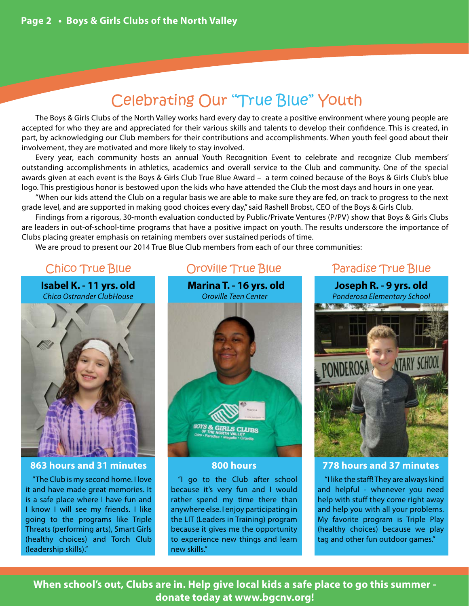# Celebrating Our "True Blue" Youth

The Boys & Girls Clubs of the North Valley works hard every day to create a positive environment where young people are accepted for who they are and appreciated for their various skills and talents to develop their confidence. This is created, in part, by acknowledging our Club members for their contributions and accomplishments. When youth feel good about their involvement, they are motivated and more likely to stay involved.

Every year, each community hosts an annual Youth Recognition Event to celebrate and recognize Club members' outstanding accomplishments in athletics, academics and overall service to the Club and community. One of the special awards given at each event is the Boys & Girls Club True Blue Award – a term coined because of the Boys & Girls Club's blue logo. This prestigious honor is bestowed upon the kids who have attended the Club the most days and hours in one year.

"When our kids attend the Club on a regular basis we are able to make sure they are fed, on track to progress to the next grade level, and are supported in making good choices every day," said Rashell Brobst, CEO of the Boys & Girls Club.

Findings from a rigorous, 30-month evaluation conducted by Public/Private Ventures (P/PV) show that Boys & Girls Clubs are leaders in out-of-school-time programs that have a positive impact on youth. The results underscore the importance of Clubs placing greater emphasis on retaining members over sustained periods of time.

We are proud to present our 2014 True Blue Club members from each of our three communities:

**Isabel K. - 11 yrs. old** Chico Ostrander ClubHouse



#### **863 hours and 31 minutes**

"The Club is my second home. I love it and have made great memories. It is a safe place where I have fun and I know I will see my friends. I like going to the programs like Triple Threats (performing arts), Smart Girls (healthy choices) and Torch Club (leadership skills)."



#### **800 hours**

"I go to the Club after school because it's very fun and I would rather spend my time there than anywhere else. I enjoy participating in the LIT (Leaders in Training) program because it gives me the opportunity to experience new things and learn new skills."

### Chico True Blue **Oroville True Blue** Paradise True Blue

**Joseph R. - 9 yrs. old** Ponderosa Elementary School **A MARINE AND A MARINE AND A MARINE AND A MARINE AND A MARINE AND A MARINE AND A MARINE AND A MARINE AND A** NTARY SCHO PONDEROSA

#### **778 hours and 37 minutes**

"I like the staff! They are always kind and helpful - whenever you need help with stuff they come right away and help you with all your problems. My favorite program is Triple Play (healthy choices) because we play tag and other fun outdoor games."

**When school's out, Clubs are in. Help give local kids a safe place to go this summer donate today at www.bgcnv.org!**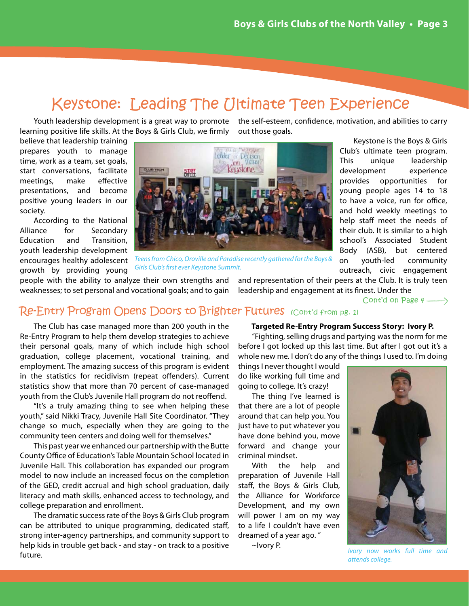## Keystone: Leading The Ultimate Teen Experience

out those goals.

Youth leadership development is a great way to promote the self-esteem, confidence, motivation, and abilities to carry learning positive life skills. At the Boys & Girls Club, we firmly

believe that leadership training prepares youth to manage time, work as a team, set goals, start conversations, facilitate meetings, make effective presentations, and become positive young leaders in our society.

According to the National Alliance for Secondary Education and Transition, youth leadership development encourages healthy adolescent growth by providing young



Teens from Chico, Oroville and Paradise recently gathered for the Boys & Girls Club's first ever Keystone Summit.

people with the ability to analyze their own strengths and weaknesses; to set personal and vocational goals; and to gain

and representation of their peers at the Club. It is truly teen leadership and engagement at its finest. Under the

Cont'd on Page  $4 \longrightarrow$ 

### Re-Entry Program Opens Doors to Brighter Futures (Cont'd from pg. 1)

The Club has case managed more than 200 youth in the Re-Entry Program to help them develop strategies to achieve their personal goals, many of which include high school graduation, college placement, vocational training, and employment. The amazing success of this program is evident in the statistics for recidivism (repeat offenders). Current statistics show that more than 70 percent of case-managed youth from the Club's Juvenile Hall program do not reoffend.

"It's a truly amazing thing to see when helping these youth," said Nikki Tracy, Juvenile Hall Site Coordinator. "They change so much, especially when they are going to the community teen centers and doing well for themselves."

This past year we enhanced our partnership with the Butte County Office of Education's Table Mountain School located in Juvenile Hall. This collaboration has expanded our program model to now include an increased focus on the completion of the GED, credit accrual and high school graduation, daily literacy and math skills, enhanced access to technology, and college preparation and enrollment.

The dramatic success rate of the Boys & Girls Club program can be attributed to unique programming, dedicated staff, strong inter-agency partnerships, and community support to help kids in trouble get back - and stay - on track to a positive future.

#### **Targeted Re-Entry Program Success Story: Ivory P.**

"Fighting, selling drugs and partying was the norm for me before I got locked up this last time. But after I got out it's a whole new me. I don't do any of the things I used to. I'm doing

things I never thought I would do like working full time and going to college. It's crazy!

The thing I've learned is that there are a lot of people around that can help you. You just have to put whatever you have done behind you, move forward and change your criminal mindset.

With the help and preparation of Juvenile Hall staff, the Boys & Girls Club, the Alliance for Workforce Development, and my own will power I am on my way to a life I couldn't have even dreamed of a year ago. "

~Ivory P.



Ivory now works full time and attends college.

Club's ultimate teen program. This unique leadership development experience provides opportunities for young people ages 14 to 18 to have a voice, run for office, and hold weekly meetings to help staff meet the needs of their club. It is similar to a high school's Associated Student Body (ASB), but centered on youth-led community outreach, civic engagement

Keystone is the Boys & Girls